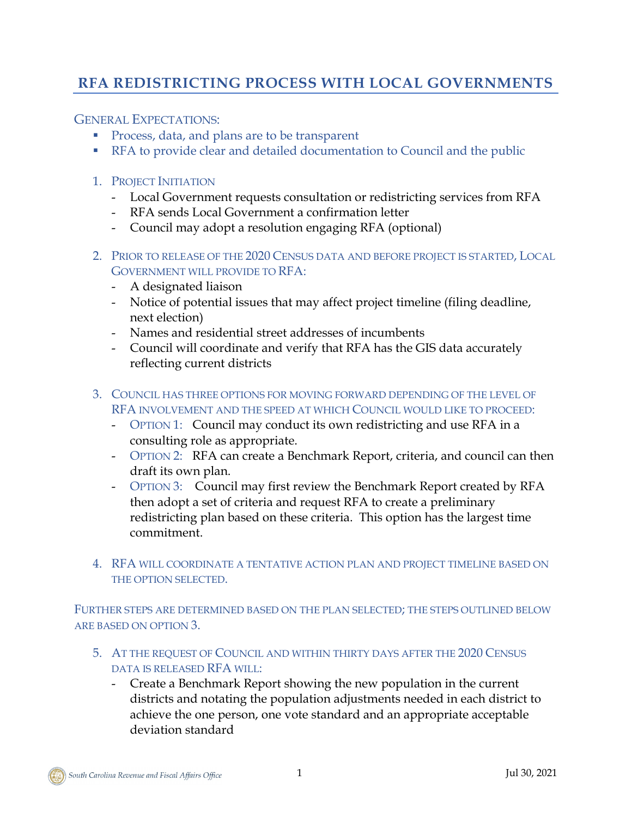## **RFA REDISTRICTING PROCESS WITH LOCAL GOVERNMENTS**

GENERAL EXPECTATIONS:

- **Process, data, and plans are to be transparent**
- **RFA to provide clear and detailed documentation to Council and the public**
- 1. PROJECT INITIATION
	- Local Government requests consultation or redistricting services from RFA
	- RFA sends Local Government a confirmation letter
	- Council may adopt a resolution engaging RFA (optional)
- 2. PRIOR TO RELEASE OF THE 2020 CENSUS DATA AND BEFORE PROJECT IS STARTED, LOCAL GOVERNMENT WILL PROVIDE TO RFA:
	- A designated liaison
	- Notice of potential issues that may affect project timeline (filing deadline, next election)
	- Names and residential street addresses of incumbents
	- Council will coordinate and verify that RFA has the GIS data accurately reflecting current districts
- 3. COUNCIL HAS THREE OPTIONS FOR MOVING FORWARD DEPENDING OF THE LEVEL OF RFA INVOLVEMENT AND THE SPEED AT WHICH COUNCIL WOULD LIKE TO PROCEED:
	- OPTION 1: Council may conduct its own redistricting and use RFA in a consulting role as appropriate.
	- OPTION 2: RFA can create a Benchmark Report, criteria, and council can then draft its own plan.
	- OPTION 3: Council may first review the Benchmark Report created by RFA then adopt a set of criteria and request RFA to create a preliminary redistricting plan based on these criteria. This option has the largest time commitment.
- 4. RFA WILL COORDINATE A TENTATIVE ACTION PLAN AND PROJECT TIMELINE BASED ON THE OPTION SELECTED.

FURTHER STEPS ARE DETERMINED BASED ON THE PLAN SELECTED; THE STEPS OUTLINED BELOW ARE BASED ON OPTION 3.

- 5. AT THE REQUEST OF COUNCIL AND WITHIN THIRTY DAYS AFTER THE 2020 CENSUS DATA IS RELEASED RFA WILL:
	- Create a Benchmark Report showing the new population in the current districts and notating the population adjustments needed in each district to achieve the one person, one vote standard and an appropriate acceptable deviation standard